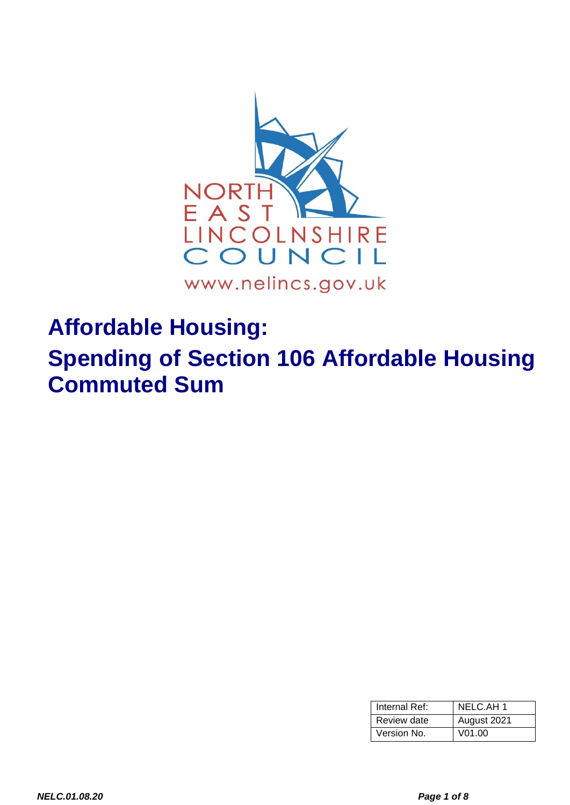

# **Affordable Housing:**

**Spending of Section 106 Affordable Housing Commuted Sum**

| Internal Ref: | NELC.AH 1          |  |
|---------------|--------------------|--|
| Review date   | August 2021        |  |
| Version No.   | V <sub>01.00</sub> |  |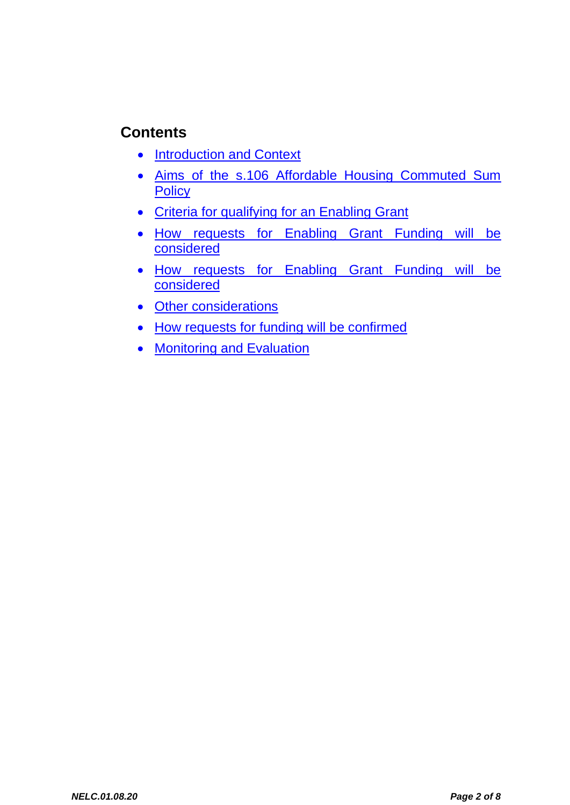## **Contents**

- [Introduction and Context](#page-2-0)
- [Aims](#page-3-0) of the s.106 Affordable Housing Commuted Sum **Policy**
- [Criteria](#page-5-0) for qualifying for an Enabling Grant
- How requests for Enabling Grant Funding will be considered
- How requests for Enabling Grant Funding will be considered
- [Other considerations](#page-6-0)
- How requests for funding will be confirmed
- [Monitoring and Evaluation](#page-6-1)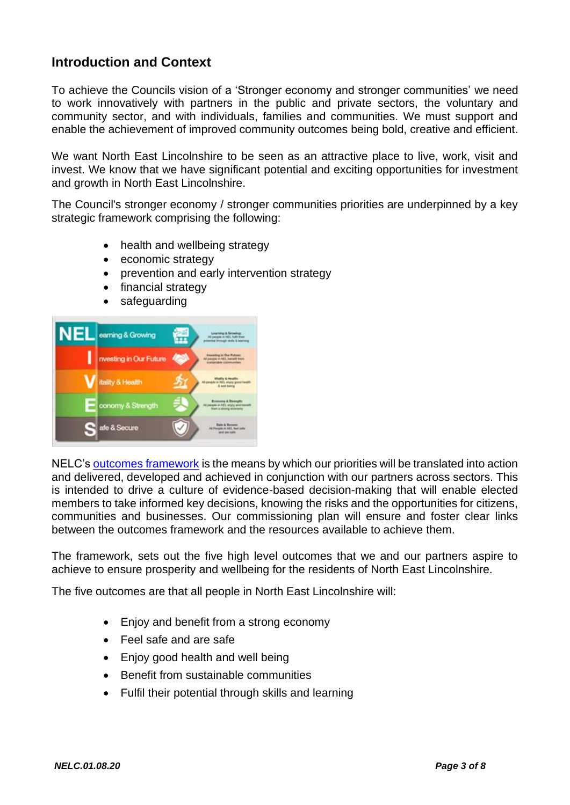#### <span id="page-2-0"></span>**Introduction and Context**

To achieve the Councils vision of a 'Stronger economy and stronger communities' we need to work innovatively with partners in the public and private sectors, the voluntary and community sector, and with individuals, families and communities. We must support and enable the achievement of improved community outcomes being bold, creative and efficient.

We want North East Lincolnshire to be seen as an attractive place to live, work, visit and invest. We know that we have significant potential and exciting opportunities for investment and growth in North East Lincolnshire.

The Council's stronger economy / stronger communities priorities are underpinned by a key strategic framework comprising the following:

- health and wellbeing strategy
- economic strategy
- prevention and early intervention strategy
- financial strategy
- safeguarding



NELC's [outcomes framework](https://www.nelincs.gov.uk/council-information-partnerships/partnerships/commissioning-plan-outcomes-framework/) is the means by which our priorities will be translated into action and delivered, developed and achieved in conjunction with our partners across sectors. This is intended to drive a culture of evidence-based decision-making that will enable elected members to take informed key decisions, knowing the risks and the opportunities for citizens, communities and businesses. Our commissioning plan will ensure and foster clear links between the outcomes framework and the resources available to achieve them.

The framework, sets out the five high level outcomes that we and our partners aspire to achieve to ensure prosperity and wellbeing for the residents of North East Lincolnshire.

The five outcomes are that all people in North East Lincolnshire will:

- Enjoy and benefit from a strong economy
- Feel safe and are safe
- Enjoy good health and well being
- Benefit from sustainable communities
- Fulfil their potential through skills and learning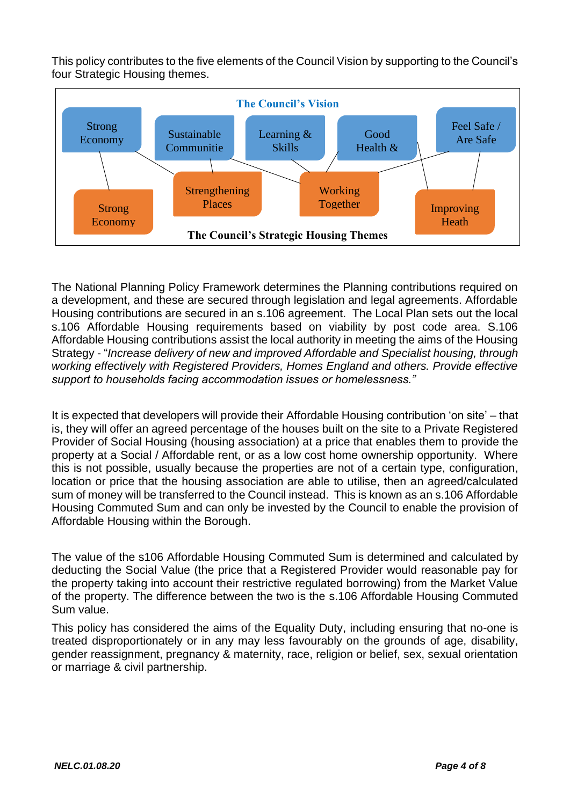This policy contributes to the five elements of the Council Vision by supporting to the Council's four Strategic Housing themes.



The National Planning Policy Framework determines the Planning contributions required on a development, and these are secured through legislation and legal agreements. Affordable Housing contributions are secured in an s.106 agreement. The Local Plan sets out the local s.106 Affordable Housing requirements based on viability by post code area. S.106 Affordable Housing contributions assist the local authority in meeting the aims of the Housing Strategy - "*Increase delivery of new and improved Affordable and Specialist housing, through working effectively with Registered Providers, Homes England and others. Provide effective support to households facing accommodation issues or homelessness."* 

It is expected that developers will provide their Affordable Housing contribution 'on site' – that is, they will offer an agreed percentage of the houses built on the site to a Private Registered Provider of Social Housing (housing association) at a price that enables them to provide the property at a Social / Affordable rent, or as a low cost home ownership opportunity. Where this is not possible, usually because the properties are not of a certain type, configuration, location or price that the housing association are able to utilise, then an agreed/calculated sum of money will be transferred to the Council instead. This is known as an s.106 Affordable Housing Commuted Sum and can only be invested by the Council to enable the provision of Affordable Housing within the Borough.

The value of the s106 Affordable Housing Commuted Sum is determined and calculated by deducting the Social Value (the price that a Registered Provider would reasonable pay for the property taking into account their restrictive regulated borrowing) from the Market Value of the property. The difference between the two is the s.106 Affordable Housing Commuted Sum value.

<span id="page-3-0"></span>This policy has considered the aims of the Equality Duty, including ensuring that no-one is treated disproportionately or in any may less favourably on the grounds of age, disability, gender reassignment, pregnancy & maternity, race, religion or belief, sex, sexual orientation or marriage & civil partnership.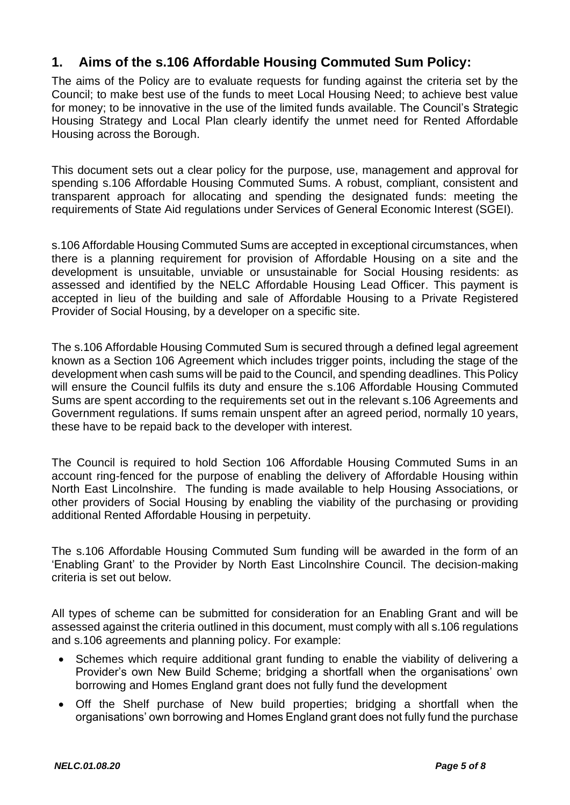#### **1. Aims of the s.106 Affordable Housing Commuted Sum Policy:**

The aims of the Policy are to evaluate requests for funding against the criteria set by the Council; to make best use of the funds to meet Local Housing Need; to achieve best value for money; to be innovative in the use of the limited funds available. The Council's Strategic Housing Strategy and Local Plan clearly identify the unmet need for Rented Affordable Housing across the Borough.

This document sets out a clear policy for the purpose, use, management and approval for spending s.106 Affordable Housing Commuted Sums. A robust, compliant, consistent and transparent approach for allocating and spending the designated funds: meeting the requirements of State Aid regulations under Services of General Economic Interest (SGEI).

s.106 Affordable Housing Commuted Sums are accepted in exceptional circumstances, when there is a planning requirement for provision of Affordable Housing on a site and the development is unsuitable, unviable or unsustainable for Social Housing residents: as assessed and identified by the NELC Affordable Housing Lead Officer. This payment is accepted in lieu of the building and sale of Affordable Housing to a Private Registered Provider of Social Housing, by a developer on a specific site.

The s.106 Affordable Housing Commuted Sum is secured through a defined legal agreement known as a Section 106 Agreement which includes trigger points, including the stage of the development when cash sums will be paid to the Council, and spending deadlines. This Policy will ensure the Council fulfils its duty and ensure the s.106 Affordable Housing Commuted Sums are spent according to the requirements set out in the relevant s.106 Agreements and Government regulations. If sums remain unspent after an agreed period, normally 10 years, these have to be repaid back to the developer with interest.

The Council is required to hold Section 106 Affordable Housing Commuted Sums in an account ring-fenced for the purpose of enabling the delivery of Affordable Housing within North East Lincolnshire. The funding is made available to help Housing Associations, or other providers of Social Housing by enabling the viability of the purchasing or providing additional Rented Affordable Housing in perpetuity.

The s.106 Affordable Housing Commuted Sum funding will be awarded in the form of an 'Enabling Grant' to the Provider by North East Lincolnshire Council. The decision-making criteria is set out below.

All types of scheme can be submitted for consideration for an Enabling Grant and will be assessed against the criteria outlined in this document, must comply with all s.106 regulations and s.106 agreements and planning policy. For example:

- Schemes which require additional grant funding to enable the viability of delivering a Provider's own New Build Scheme; bridging a shortfall when the organisations' own borrowing and Homes England grant does not fully fund the development
- Off the Shelf purchase of New build properties; bridging a shortfall when the organisations' own borrowing and Homes England grant does not fully fund the purchase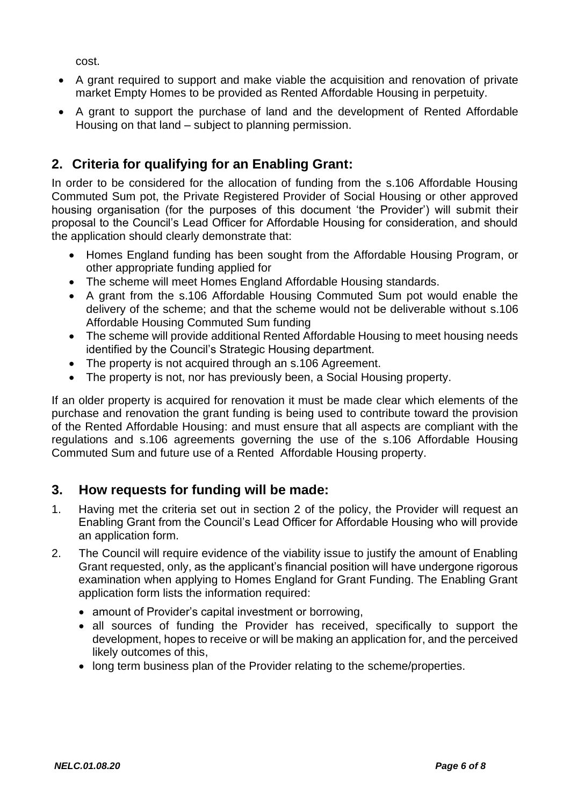cost.

- A grant required to support and make viable the acquisition and renovation of private market Empty Homes to be provided as Rented Affordable Housing in perpetuity.
- A grant to support the purchase of land and the development of Rented Affordable Housing on that land – subject to planning permission.

### <span id="page-5-0"></span>**2. Criteria for qualifying for an Enabling Grant:**

In order to be considered for the allocation of funding from the s.106 Affordable Housing Commuted Sum pot, the Private Registered Provider of Social Housing or other approved housing organisation (for the purposes of this document 'the Provider') will submit their proposal to the Council's Lead Officer for Affordable Housing for consideration, and should the application should clearly demonstrate that:

- Homes England funding has been sought from the Affordable Housing Program, or other appropriate funding applied for
- The scheme will meet Homes England Affordable Housing standards.
- A grant from the s.106 Affordable Housing Commuted Sum pot would enable the delivery of the scheme; and that the scheme would not be deliverable without s.106 Affordable Housing Commuted Sum funding
- The scheme will provide additional Rented Affordable Housing to meet housing needs identified by the Council's Strategic Housing department.
- The property is not acquired through an s.106 Agreement.
- The property is not, nor has previously been, a Social Housing property.

If an older property is acquired for renovation it must be made clear which elements of the purchase and renovation the grant funding is being used to contribute toward the provision of the Rented Affordable Housing: and must ensure that all aspects are compliant with the regulations and s.106 agreements governing the use of the s.106 Affordable Housing Commuted Sum and future use of a Rented Affordable Housing property.

#### **3. How requests for funding will be made:**

- 1. Having met the criteria set out in section 2 of the policy, the Provider will request an Enabling Grant from the Council's Lead Officer for Affordable Housing who will provide an application form.
- 2. The Council will require evidence of the viability issue to justify the amount of Enabling Grant requested, only, as the applicant's financial position will have undergone rigorous examination when applying to Homes England for Grant Funding. The Enabling Grant application form lists the information required:
	- amount of Provider's capital investment or borrowing,
	- all sources of funding the Provider has received, specifically to support the development, hopes to receive or will be making an application for, and the perceived likely outcomes of this,
	- long term business plan of the Provider relating to the scheme/properties.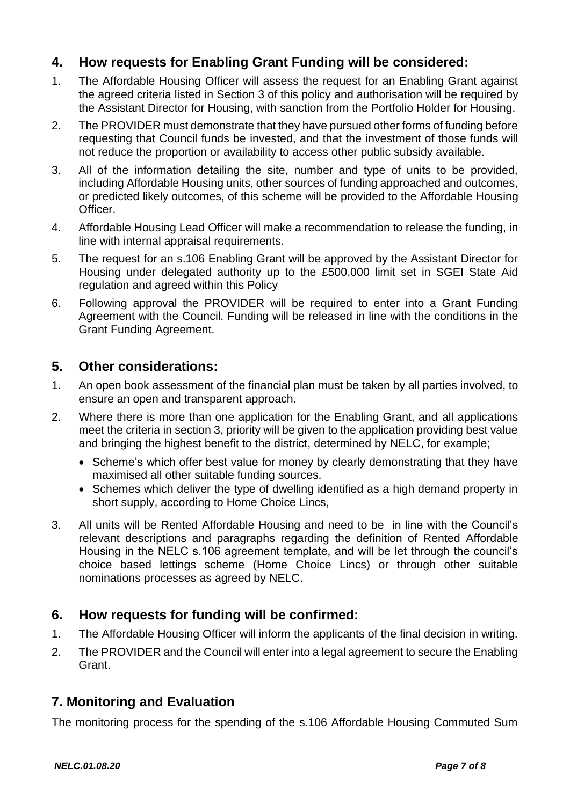#### **4. How requests for Enabling Grant Funding will be considered:**

- 1. The Affordable Housing Officer will assess the request for an Enabling Grant against the agreed criteria listed in Section 3 of this policy and authorisation will be required by the Assistant Director for Housing, with sanction from the Portfolio Holder for Housing.
- 2. The PROVIDER must demonstrate that they have pursued other forms of funding before requesting that Council funds be invested, and that the investment of those funds will not reduce the proportion or availability to access other public subsidy available.
- 3. All of the information detailing the site, number and type of units to be provided, including Affordable Housing units, other sources of funding approached and outcomes, or predicted likely outcomes, of this scheme will be provided to the Affordable Housing Officer.
- 4. Affordable Housing Lead Officer will make a recommendation to release the funding, in line with internal appraisal requirements.
- 5. The request for an s.106 Enabling Grant will be approved by the Assistant Director for Housing under delegated authority up to the £500,000 limit set in SGEI State Aid regulation and agreed within this Policy
- 6. Following approval the PROVIDER will be required to enter into a Grant Funding Agreement with the Council. Funding will be released in line with the conditions in the Grant Funding Agreement.

#### <span id="page-6-0"></span>**5. Other considerations:**

- 1. An open book assessment of the financial plan must be taken by all parties involved, to ensure an open and transparent approach.
- 2. Where there is more than one application for the Enabling Grant, and all applications meet the criteria in section 3, priority will be given to the application providing best value and bringing the highest benefit to the district, determined by NELC, for example;
	- Scheme's which offer best value for money by clearly demonstrating that they have maximised all other suitable funding sources.
	- Schemes which deliver the type of dwelling identified as a high demand property in short supply, according to Home Choice Lincs,
- 3. All units will be Rented Affordable Housing and need to be in line with the Council's relevant descriptions and paragraphs regarding the definition of Rented Affordable Housing in the NELC s.106 agreement template, and will be let through the council's choice based lettings scheme (Home Choice Lincs) or through other suitable nominations processes as agreed by NELC.

#### **6. How requests for funding will be confirmed:**

- 1. The Affordable Housing Officer will inform the applicants of the final decision in writing.
- 2. The PROVIDER and the Council will enter into a legal agreement to secure the Enabling Grant.

#### <span id="page-6-1"></span>**7. Monitoring and Evaluation**

The monitoring process for the spending of the s.106 Affordable Housing Commuted Sum